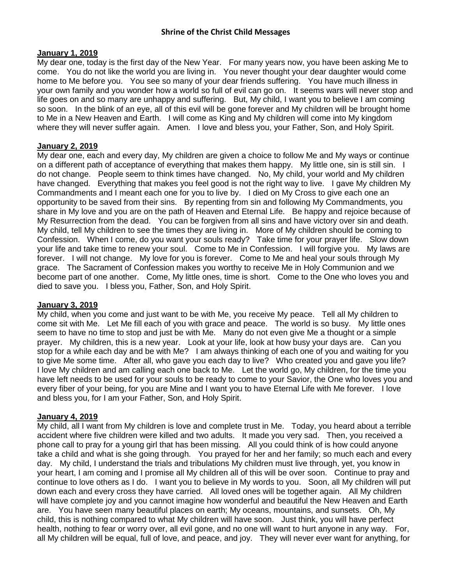### **January 1, 2019**

My dear one, today is the first day of the New Year. For many years now, you have been asking Me to come. You do not like the world you are living in. You never thought your dear daughter would come home to Me before you. You see so many of your dear friends suffering. You have much illness in your own family and you wonder how a world so full of evil can go on. It seems wars will never stop and life goes on and so many are unhappy and suffering. But, My child, I want you to believe I am coming so soon. In the blink of an eye, all of this evil will be gone forever and My children will be brought home to Me in a New Heaven and Earth. I will come as King and My children will come into My kingdom where they will never suffer again. Amen. I love and bless you, your Father, Son, and Holy Spirit.

# **January 2, 2019**

My dear one, each and every day, My children are given a choice to follow Me and My ways or continue on a different path of acceptance of everything that makes them happy. My little one, sin is still sin. I do not change. People seem to think times have changed. No, My child, your world and My children have changed. Everything that makes you feel good is not the right way to live. I gave My children My Commandments and I meant each one for you to live by. I died on My Cross to give each one an opportunity to be saved from their sins. By repenting from sin and following My Commandments, you share in My love and you are on the path of Heaven and Eternal Life. Be happy and rejoice because of My Resurrection from the dead. You can be forgiven from all sins and have victory over sin and death. My child, tell My children to see the times they are living in. More of My children should be coming to Confession. When I come, do you want your souls ready? Take time for your prayer life. Slow down your life and take time to renew your soul. Come to Me in Confession. I will forgive you. My laws are forever. I will not change. My love for you is forever. Come to Me and heal your souls through My grace. The Sacrament of Confession makes you worthy to receive Me in Holy Communion and we become part of one another. Come, My little ones, time is short. Come to the One who loves you and died to save you. I bless you, Father, Son, and Holy Spirit.

### **January 3, 2019**

My child, when you come and just want to be with Me, you receive My peace. Tell all My children to come sit with Me. Let Me fill each of you with grace and peace. The world is so busy. My little ones seem to have no time to stop and just be with Me. Many do not even give Me a thought or a simple prayer. My children, this is a new year. Look at your life, look at how busy your days are. Can you stop for a while each day and be with Me? I am always thinking of each one of you and waiting for you to give Me some time. After all, who gave you each day to live? Who created you and gave you life? I love My children and am calling each one back to Me. Let the world go, My children, for the time you have left needs to be used for your souls to be ready to come to your Savior, the One who loves you and every fiber of your being, for you are Mine and I want you to have Eternal Life with Me forever. I love and bless you, for I am your Father, Son, and Holy Spirit.

# **January 4, 2019**

My child, all I want from My children is love and complete trust in Me. Today, you heard about a terrible accident where five children were killed and two adults. It made you very sad. Then, you received a phone call to pray for a young girl that has been missing. All you could think of is how could anyone take a child and what is she going through. You prayed for her and her family; so much each and every day. My child, I understand the trials and tribulations My children must live through, yet, you know in your heart, I am coming and I promise all My children all of this will be over soon. Continue to pray and continue to love others as I do. I want you to believe in My words to you. Soon, all My children will put down each and every cross they have carried. All loved ones will be together again. All My children will have complete joy and you cannot imagine how wonderful and beautiful the New Heaven and Earth are. You have seen many beautiful places on earth; My oceans, mountains, and sunsets. Oh, My child, this is nothing compared to what My children will have soon. Just think, you will have perfect health, nothing to fear or worry over, all evil gone, and no one will want to hurt anyone in any way. For, all My children will be equal, full of love, and peace, and joy. They will never ever want for anything, for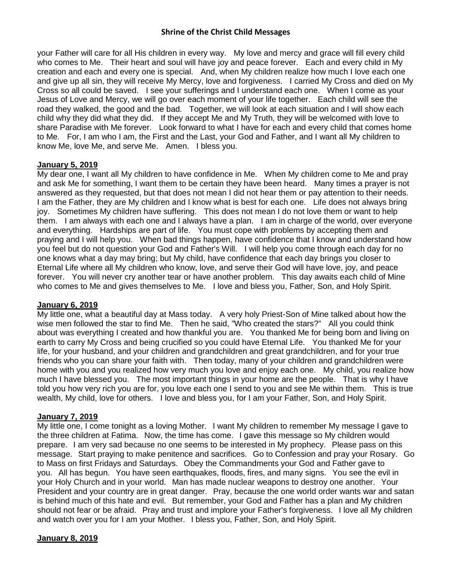your Father will care for all His children in every way. My love and mercy and grace will fill every child who comes to Me. Their heart and soul will have joy and peace forever. Each and every child in My creation and each and every one is special. And, when My children realize how much I love each one and give up all sin, they will receive My Mercy, love and forgiveness. I carried My Cross and died on My Cross so all could be saved. I see your sufferings and I understand each one. When I come as your Jesus of Love and Mercy, we will go over each moment of your life together. Each child will see the road they walked, the good and the bad. Together, we will look at each situation and I will show each child why they did what they did. If they accept Me and My Truth, they will be welcomed with love to share Paradise with Me forever. Look forward to what I have for each and every child that comes home to Me. For, I am who I am, the First and the Last, your God and Father, and I want all My children to know Me, love Me, and serve Me. Amen. I bless you.

## **January 5, 2019**

My dear one, I want all My children to have confidence in Me. When My children come to Me and pray and ask Me for something, I want them to be certain they have been heard. Many times a prayer is not answered as they requested, but that does not mean I did not hear them or pay attention to their needs. I am the Father, they are My children and I know what is best for each one. Life does not always bring joy. Sometimes My children have suffering. This does not mean I do not love them or want to help them. I am always with each one and I always have a plan. I am in charge of the world, over everyone and everything. Hardships are part of life. You must cope with problems by accepting them and praying and I will help you. When bad things happen, have confidence that I know and understand how you feel but do not question your God and Father's Will. I will help you come through each day for no one knows what a day may bring; but My child, have confidence that each day brings you closer to Eternal Life where all My children who know, love, and serve their God will have love, joy, and peace forever. You will never cry another tear or have another problem. This day awaits each child of Mine who comes to Me and gives themselves to Me. I love and bless you, Father, Son, and Holy Spirit.

### **January 6, 2019**

My little one, what a beautiful day at Mass today. A very holy Priest-Son of Mine talked about how the wise men followed the star to find Me. Then he said, "Who created the stars?" All you could think about was everything I created and how thankful you are. You thanked Me for being born and living on earth to carry My Cross and being crucified so you could have Eternal Life. You thanked Me for your life, for your husband, and your children and grandchildren and great grandchildren, and for your true friends who you can share your faith with. Then today, many of your children and grandchildren were home with you and you realized how very much you love and enjoy each one. My child, you realize how much I have blessed you. The most important things in your home are the people. That is why I have told you how very rich you are for, you love each one I send to you and see Me within them. This is true wealth, My child, love for others. I love and bless you, for I am your Father, Son, and Holy Spirit.

# **January 7, 2019**

My little one, I come tonight as a loving Mother. I want My children to remember My message I gave to the three children at Fatima. Now, the time has come. I gave this message so My children would prepare. I am very sad because no one seems to be interested in My prophecy. Please pass on this message. Start praying to make penitence and sacrifices. Go to Confession and pray your Rosary. Go to Mass on first Fridays and Saturdays. Obey the Commandments your God and Father gave to you. All has begun. You have seen earthquakes, floods, fires, and many signs. You see the evil in your Holy Church and in your world. Man has made nuclear weapons to destroy one another. Your President and your country are in great danger. Pray, because the one world order wants war and satan is behind much of this hate and evil. But remember, your God and Father has a plan and My children should not fear or be afraid. Pray and trust and implore your Father's forgiveness. I love all My children and watch over you for I am your Mother. I bless you, Father, Son, and Holy Spirit.

# **January 8, 2019**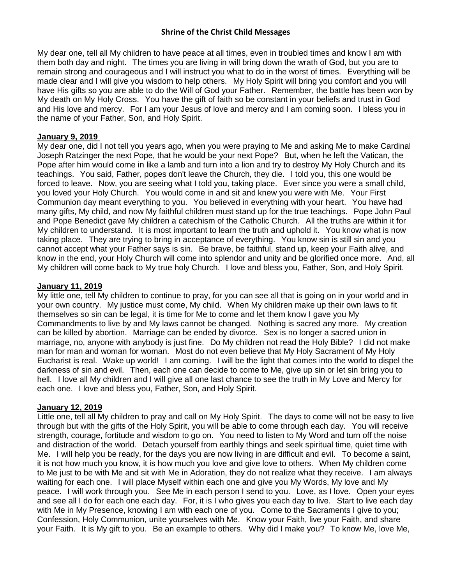My dear one, tell all My children to have peace at all times, even in troubled times and know I am with them both day and night. The times you are living in will bring down the wrath of God, but you are to remain strong and courageous and I will instruct you what to do in the worst of times. Everything will be made clear and I will give you wisdom to help others. My Holy Spirit will bring you comfort and you will have His gifts so you are able to do the Will of God your Father. Remember, the battle has been won by My death on My Holy Cross. You have the gift of faith so be constant in your beliefs and trust in God and His love and mercy. For I am your Jesus of love and mercy and I am coming soon. I bless you in the name of your Father, Son, and Holy Spirit.

## **January 9, 2019**

My dear one, did I not tell you years ago, when you were praying to Me and asking Me to make Cardinal Joseph Ratzinger the next Pope, that he would be your next Pope? But, when he left the Vatican, the Pope after him would come in like a lamb and turn into a lion and try to destroy My Holy Church and its teachings. You said, Father, popes don't leave the Church, they die. I told you, this one would be forced to leave. Now, you are seeing what I told you, taking place. Ever since you were a small child, you loved your Holy Church. You would come in and sit and knew you were with Me. Your First Communion day meant everything to you. You believed in everything with your heart. You have had many gifts, My child, and now My faithful children must stand up for the true teachings. Pope John Paul and Pope Benedict gave My children a catechism of the Catholic Church. All the truths are within it for My children to understand. It is most important to learn the truth and uphold it. You know what is now taking place. They are trying to bring in acceptance of everything. You know sin is still sin and you cannot accept what your Father says is sin. Be brave, be faithful, stand up, keep your Faith alive, and know in the end, your Holy Church will come into splendor and unity and be glorified once more. And, all My children will come back to My true holy Church. I love and bless you, Father, Son, and Holy Spirit.

## **January 11, 2019**

My little one, tell My children to continue to pray, for you can see all that is going on in your world and in your own country. My justice must come, My child. When My children make up their own laws to fit themselves so sin can be legal, it is time for Me to come and let them know I gave you My Commandments to live by and My laws cannot be changed. Nothing is sacred any more. My creation can be killed by abortion. Marriage can be ended by divorce. Sex is no longer a sacred union in marriage, no, anyone with anybody is just fine. Do My children not read the Holy Bible? I did not make man for man and woman for woman. Most do not even believe that My Holy Sacrament of My Holy Eucharist is real. Wake up world! I am coming. I will be the light that comes into the world to dispel the darkness of sin and evil. Then, each one can decide to come to Me, give up sin or let sin bring you to hell. I love all My children and I will give all one last chance to see the truth in My Love and Mercy for each one. I love and bless you, Father, Son, and Holy Spirit.

### **January 12, 2019**

Little one, tell all My children to pray and call on My Holy Spirit. The days to come will not be easy to live through but with the gifts of the Holy Spirit, you will be able to come through each day. You will receive strength, courage, fortitude and wisdom to go on. You need to listen to My Word and turn off the noise and distraction of the world. Detach yourself from earthly things and seek spiritual time, quiet time with Me. I will help you be ready, for the days you are now living in are difficult and evil. To become a saint, it is not how much you know, it is how much you love and give love to others. When My children come to Me just to be with Me and sit with Me in Adoration, they do not realize what they receive. I am always waiting for each one. I will place Myself within each one and give you My Words, My love and My peace. I will work through you. See Me in each person I send to you. Love, as I love. Open your eyes and see all I do for each one each day. For, it is I who gives you each day to live. Start to live each day with Me in My Presence, knowing I am with each one of you. Come to the Sacraments I give to you; Confession, Holy Communion, unite yourselves with Me. Know your Faith, live your Faith, and share your Faith. It is My gift to you. Be an example to others. Why did I make you? To know Me, love Me,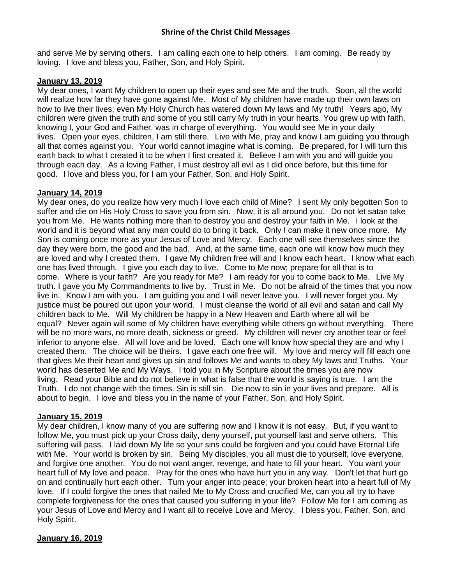and serve Me by serving others. I am calling each one to help others. I am coming. Be ready by loving. I love and bless you, Father, Son, and Holy Spirit.

# **January 13, 2019**

My dear ones, I want My children to open up their eyes and see Me and the truth. Soon, all the world will realize how far they have gone against Me. Most of My children have made up their own laws on how to live their lives; even My Holy Church has watered down My laws and My truth! Years ago, My children were given the truth and some of you still carry My truth in your hearts. You grew up with faith, knowing I, your God and Father, was in charge of everything. You would see Me in your daily lives. Open your eyes, children, I am still there. Live with Me, pray and know I am guiding you through all that comes against you. Your world cannot imagine what is coming. Be prepared, for I will turn this earth back to what I created it to be when I first created it. Believe I am with you and will guide you through each day. As a loving Father, I must destroy all evil as I did once before, but this time for good. I love and bless you, for I am your Father, Son, and Holy Spirit.

# **January 14, 2019**

My dear ones, do you realize how very much I love each child of Mine? I sent My only begotten Son to suffer and die on His Holy Cross to save you from sin. Now, it is all around you. Do not let satan take you from Me. He wants nothing more than to destroy you and destroy your faith in Me. I look at the world and it is beyond what any man could do to bring it back. Only I can make it new once more. My Son is coming once more as your Jesus of Love and Mercy. Each one will see themselves since the day they were born, the good and the bad. And, at the same time, each one will know how much they are loved and why I created them. I gave My children free will and I know each heart. I know what each one has lived through. I give you each day to live. Come to Me now; prepare for all that is to come. Where is your faith? Are you ready for Me? I am ready for you to come back to Me. Live My truth. I gave you My Commandments to live by. Trust in Me. Do not be afraid of the times that you now live in. Know I am with you. I am guiding you and I will never leave you. I will never forget you. My justice must be poured out upon your world. I must cleanse the world of all evil and satan and call My children back to Me. Will My children be happy in a New Heaven and Earth where all will be equal? Never again will some of My children have everything while others go without everything. There will be no more wars, no more death, sickness or greed. My children will never cry another tear or feel inferior to anyone else. All will love and be loved. Each one will know how special they are and why I created them. The choice will be theirs. I gave each one free will. My love and mercy will fill each one that gives Me their heart and gives up sin and follows Me and wants to obey My laws and Truths. Your world has deserted Me and My Ways. I told you in My Scripture about the times you are now living. Read your Bible and do not believe in what is false that the world is saying is true. I am the Truth. I do not change with the times. Sin is still sin. Die now to sin in your lives and prepare. All is about to begin. I love and bless you in the name of your Father, Son, and Holy Spirit.

# **January 15, 2019**

My dear children, I know many of you are suffering now and I know it is not easy. But, if you want to follow Me, you must pick up your Cross daily, deny yourself, put yourself last and serve others. This suffering will pass. I laid down My life so your sins could be forgiven and you could have Eternal Life with Me. Your world is broken by sin. Being My disciples, you all must die to yourself, love everyone, and forgive one another. You do not want anger, revenge, and hate to fill your heart. You want your heart full of My love and peace. Pray for the ones who have hurt you in any way. Don't let that hurt go on and continually hurt each other. Turn your anger into peace; your broken heart into a heart full of My love. If I could forgive the ones that nailed Me to My Cross and crucified Me, can you all try to have complete forgiveness for the ones that caused you suffering in your life? Follow Me for I am coming as your Jesus of Love and Mercy and I want all to receive Love and Mercy. I bless you, Father, Son, and Holy Spirit.

# **January 16, 2019**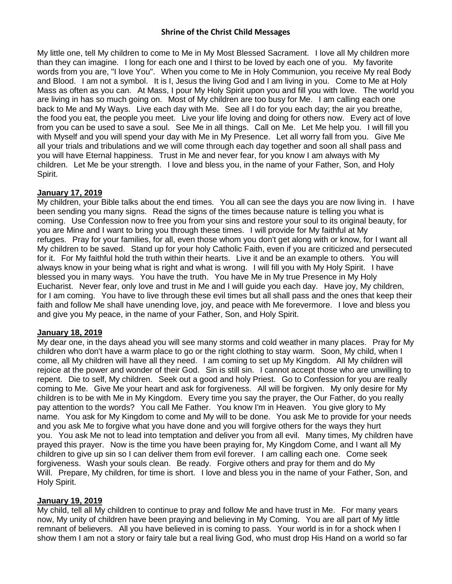My little one, tell My children to come to Me in My Most Blessed Sacrament. I love all My children more than they can imagine. I long for each one and I thirst to be loved by each one of you. My favorite words from you are, "I love You". When you come to Me in Holy Communion, you receive My real Body and Blood. I am not a symbol. It is I, Jesus the living God and I am living in you. Come to Me at Holy Mass as often as you can. At Mass, I pour My Holy Spirit upon you and fill you with love. The world you are living in has so much going on. Most of My children are too busy for Me. I am calling each one back to Me and My Ways. Live each day with Me. See all I do for you each day; the air you breathe, the food you eat, the people you meet. Live your life loving and doing for others now. Every act of love from you can be used to save a soul. See Me in all things. Call on Me. Let Me help you. I will fill you with Myself and you will spend your day with Me in My Presence. Let all worry fall from you. Give Me all your trials and tribulations and we will come through each day together and soon all shall pass and you will have Eternal happiness. Trust in Me and never fear, for you know I am always with My children. Let Me be your strength. I love and bless you, in the name of your Father, Son, and Holy Spirit.

# **January 17, 2019**

My children, your Bible talks about the end times. You all can see the days you are now living in. I have been sending you many signs. Read the signs of the times because nature is telling you what is coming. Use Confession now to free you from your sins and restore your soul to its original beauty, for you are Mine and I want to bring you through these times. I will provide for My faithful at My refuges. Pray for your families, for all, even those whom you don't get along with or know, for I want all My children to be saved. Stand up for your holy Catholic Faith, even if you are criticized and persecuted for it. For My faithful hold the truth within their hearts. Live it and be an example to others. You will always know in your being what is right and what is wrong. I will fill you with My Holy Spirit. I have blessed you in many ways. You have the truth. You have Me in My true Presence in My Holy Eucharist. Never fear, only love and trust in Me and I will guide you each day. Have joy, My children, for I am coming. You have to live through these evil times but all shall pass and the ones that keep their faith and follow Me shall have unending love, joy, and peace with Me forevermore. I love and bless you and give you My peace, in the name of your Father, Son, and Holy Spirit.

# **January 18, 2019**

My dear one, in the days ahead you will see many storms and cold weather in many places. Pray for My children who don't have a warm place to go or the right clothing to stay warm. Soon, My child, when I come, all My children will have all they need. I am coming to set up My Kingdom. All My children will rejoice at the power and wonder of their God. Sin is still sin. I cannot accept those who are unwilling to repent. Die to self, My children. Seek out a good and holy Priest. Go to Confession for you are really coming to Me. Give Me your heart and ask for forgiveness. All will be forgiven. My only desire for My children is to be with Me in My Kingdom. Every time you say the prayer, the Our Father, do you really pay attention to the words? You call Me Father. You know I'm in Heaven. You give glory to My name. You ask for My Kingdom to come and My will to be done. You ask Me to provide for your needs and you ask Me to forgive what you have done and you will forgive others for the ways they hurt you. You ask Me not to lead into temptation and deliver you from all evil. Many times, My children have prayed this prayer. Now is the time you have been praying for, My Kingdom Come, and I want all My children to give up sin so I can deliver them from evil forever. I am calling each one. Come seek forgiveness. Wash your souls clean. Be ready. Forgive others and pray for them and do My Will. Prepare, My children, for time is short. I love and bless you in the name of your Father, Son, and Holy Spirit.

# **January 19, 2019**

My child, tell all My children to continue to pray and follow Me and have trust in Me. For many years now, My unity of children have been praying and believing in My Coming. You are all part of My little remnant of believers. All you have believed in is coming to pass. Your world is in for a shock when I show them I am not a story or fairy tale but a real living God, who must drop His Hand on a world so far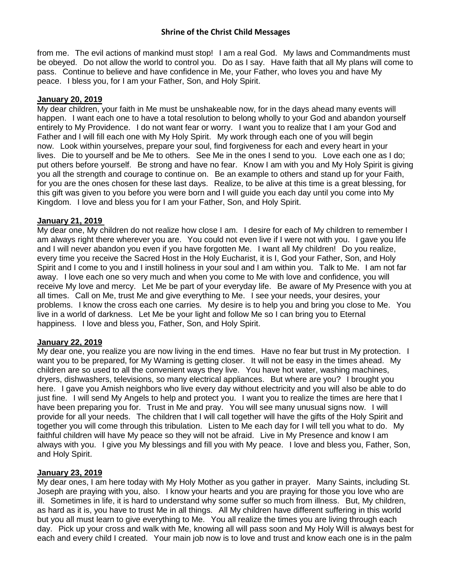from me. The evil actions of mankind must stop! I am a real God. My laws and Commandments must be obeyed. Do not allow the world to control you. Do as I say. Have faith that all My plans will come to pass. Continue to believe and have confidence in Me, your Father, who loves you and have My peace. I bless you, for I am your Father, Son, and Holy Spirit.

## **January 20, 2019**

My dear children, your faith in Me must be unshakeable now, for in the days ahead many events will happen. I want each one to have a total resolution to belong wholly to your God and abandon yourself entirely to My Providence. I do not want fear or worry. I want you to realize that I am your God and Father and I will fill each one with My Holy Spirit. My work through each one of you will begin now. Look within yourselves, prepare your soul, find forgiveness for each and every heart in your lives. Die to yourself and be Me to others. See Me in the ones I send to you. Love each one as I do; put others before yourself. Be strong and have no fear. Know I am with you and My Holy Spirit is giving you all the strength and courage to continue on. Be an example to others and stand up for your Faith, for you are the ones chosen for these last days. Realize, to be alive at this time is a great blessing, for this gift was given to you before you were born and I will guide you each day until you come into My Kingdom. I love and bless you for I am your Father, Son, and Holy Spirit.

## **January 21, 2019**

My dear one, My children do not realize how close I am. I desire for each of My children to remember I am always right there wherever you are. You could not even live if I were not with you. I gave you life and I will never abandon you even if you have forgotten Me. I want all My children! Do you realize, every time you receive the Sacred Host in the Holy Eucharist, it is I, God your Father, Son, and Holy Spirit and I come to you and I instill holiness in your soul and I am within you. Talk to Me. I am not far away. I love each one so very much and when you come to Me with love and confidence, you will receive My love and mercy. Let Me be part of your everyday life. Be aware of My Presence with you at all times. Call on Me, trust Me and give everything to Me. I see your needs, your desires, your problems. I know the cross each one carries. My desire is to help you and bring you close to Me. You live in a world of darkness. Let Me be your light and follow Me so I can bring you to Eternal happiness. I love and bless you, Father, Son, and Holy Spirit.

# **January 22, 2019**

My dear one, you realize you are now living in the end times. Have no fear but trust in My protection. I want you to be prepared, for My Warning is getting closer. It will not be easy in the times ahead. My children are so used to all the convenient ways they live. You have hot water, washing machines, dryers, dishwashers, televisions, so many electrical appliances. But where are you? I brought you here. I gave you Amish neighbors who live every day without electricity and you will also be able to do just fine. I will send My Angels to help and protect you. I want you to realize the times are here that I have been preparing you for. Trust in Me and pray. You will see many unusual signs now. I will provide for all your needs. The children that I will call together will have the gifts of the Holy Spirit and together you will come through this tribulation. Listen to Me each day for I will tell you what to do. My faithful children will have My peace so they will not be afraid. Live in My Presence and know I am always with you. I give you My blessings and fill you with My peace. I love and bless you, Father, Son, and Holy Spirit.

### **January 23, 2019**

My dear ones, I am here today with My Holy Mother as you gather in prayer. Many Saints, including St. Joseph are praying with you, also. I know your hearts and you are praying for those you love who are ill. Sometimes in life, it is hard to understand why some suffer so much from illness. But, My children, as hard as it is, you have to trust Me in all things. All My children have different suffering in this world but you all must learn to give everything to Me. You all realize the times you are living through each day. Pick up your cross and walk with Me, knowing all will pass soon and My Holy Will is always best for each and every child I created. Your main job now is to love and trust and know each one is in the palm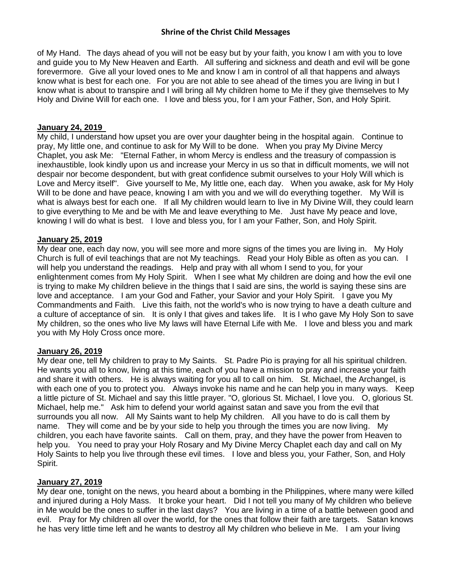of My Hand. The days ahead of you will not be easy but by your faith, you know I am with you to love and guide you to My New Heaven and Earth. All suffering and sickness and death and evil will be gone forevermore. Give all your loved ones to Me and know I am in control of all that happens and always know what is best for each one. For you are not able to see ahead of the times you are living in but I know what is about to transpire and I will bring all My children home to Me if they give themselves to My Holy and Divine Will for each one. I love and bless you, for I am your Father, Son, and Holy Spirit.

### **January 24, 2019**

My child, I understand how upset you are over your daughter being in the hospital again. Continue to pray, My little one, and continue to ask for My Will to be done. When you pray My Divine Mercy Chaplet, you ask Me: "Eternal Father, in whom Mercy is endless and the treasury of compassion is inexhaustible, look kindly upon us and increase your Mercy in us so that in difficult moments, we will not despair nor become despondent, but with great confidence submit ourselves to your Holy Will which is Love and Mercy itself". Give yourself to Me, My little one, each day. When you awake, ask for My Holy Will to be done and have peace, knowing I am with you and we will do everything together. My Will is what is always best for each one. If all My children would learn to live in My Divine Will, they could learn to give everything to Me and be with Me and leave everything to Me. Just have My peace and love, knowing I will do what is best. I love and bless you, for I am your Father, Son, and Holy Spirit.

## **January 25, 2019**

My dear one, each day now, you will see more and more signs of the times you are living in. My Holy Church is full of evil teachings that are not My teachings. Read your Holy Bible as often as you can. I will help you understand the readings. Help and pray with all whom I send to you, for your enlightenment comes from My Holy Spirit. When I see what My children are doing and how the evil one is trying to make My children believe in the things that I said are sins, the world is saying these sins are love and acceptance. I am your God and Father, your Savior and your Holy Spirit. I gave you My Commandments and Faith. Live this faith, not the world's who is now trying to have a death culture and a culture of acceptance of sin. It is only I that gives and takes life. It is I who gave My Holy Son to save My children, so the ones who live My laws will have Eternal Life with Me. I love and bless you and mark you with My Holy Cross once more.

### **January 26, 2019**

My dear one, tell My children to pray to My Saints. St. Padre Pio is praying for all his spiritual children. He wants you all to know, living at this time, each of you have a mission to pray and increase your faith and share it with others. He is always waiting for you all to call on him. St. Michael, the Archangel, is with each one of you to protect you. Always invoke his name and he can help you in many ways. Keep a little picture of St. Michael and say this little prayer. "O, glorious St. Michael, I love you. O, glorious St. Michael, help me." Ask him to defend your world against satan and save you from the evil that surrounds you all now. All My Saints want to help My children. All you have to do is call them by name. They will come and be by your side to help you through the times you are now living. My children, you each have favorite saints. Call on them, pray, and they have the power from Heaven to help you. You need to pray your Holy Rosary and My Divine Mercy Chaplet each day and call on My Holy Saints to help you live through these evil times. I love and bless you, your Father, Son, and Holy Spirit.

### **January 27, 2019**

My dear one, tonight on the news, you heard about a bombing in the Philippines, where many were killed and injured during a Holy Mass. It broke your heart. Did I not tell you many of My children who believe in Me would be the ones to suffer in the last days? You are living in a time of a battle between good and evil. Pray for My children all over the world, for the ones that follow their faith are targets. Satan knows he has very little time left and he wants to destroy all My children who believe in Me. I am your living